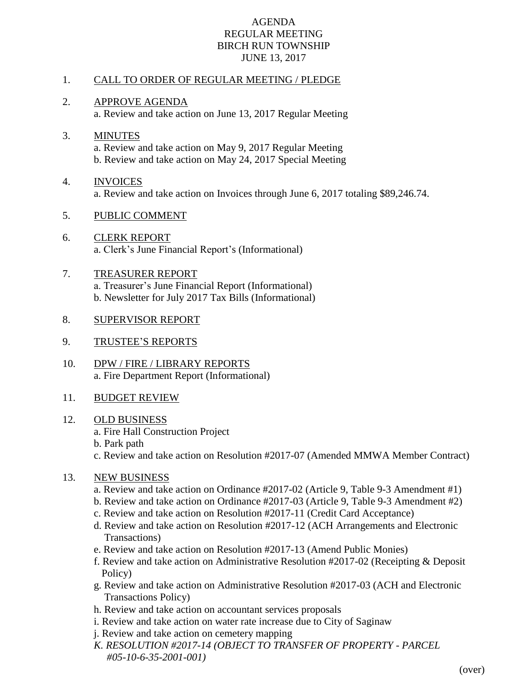## AGENDA REGULAR MEETING BIRCH RUN TOWNSHIP JUNE 13, 2017

## 1. CALL TO ORDER OF REGULAR MEETING / PLEDGE

- 2. APPROVE AGENDA a. Review and take action on June 13, 2017 Regular Meeting
- 3. MINUTES a. Review and take action on May 9, 2017 Regular Meeting b. Review and take action on May 24, 2017 Special Meeting
- 4. INVOICES a. Review and take action on Invoices through June 6, 2017 totaling \$89,246.74.
- 5. PUBLIC COMMENT
- 6. CLERK REPORT a. Clerk's June Financial Report's (Informational)
- 7. TREASURER REPORT a. Treasurer's June Financial Report (Informational) b. Newsletter for July 2017 Tax Bills (Informational)
- 8. SUPERVISOR REPORT
- 9. TRUSTEE'S REPORTS
- 10. DPW / FIRE / LIBRARY REPORTS a. Fire Department Report (Informational)
- 11. BUDGET REVIEW
- 12. OLD BUSINESS
	- a. Fire Hall Construction Project
	- b. Park path
	- c. Review and take action on Resolution #2017-07 (Amended MMWA Member Contract)
- 13. NEW BUSINESS
	- a. Review and take action on Ordinance #2017-02 (Article 9, Table 9-3 Amendment #1)
	- b. Review and take action on Ordinance #2017-03 (Article 9, Table 9-3 Amendment #2)
	- c. Review and take action on Resolution #2017-11 (Credit Card Acceptance)
	- d. Review and take action on Resolution #2017-12 (ACH Arrangements and Electronic Transactions)
	- e. Review and take action on Resolution #2017-13 (Amend Public Monies)
	- f. Review and take action on Administrative Resolution #2017-02 (Receipting & Deposit Policy)
	- g. Review and take action on Administrative Resolution #2017-03 (ACH and Electronic Transactions Policy)
	- h. Review and take action on accountant services proposals
	- i. Review and take action on water rate increase due to City of Saginaw
	- j. Review and take action on cemetery mapping
	- *K. RESOLUTION #2017-14 (OBJECT TO TRANSFER OF PROPERTY - PARCEL #05-10-6-35-2001-001)*